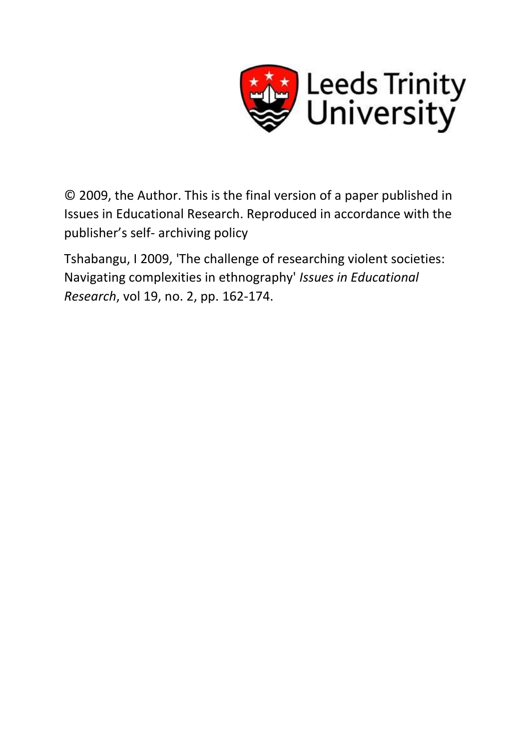

© 2009, the Author. This is the final version of a paper published in Issues in Educational Research. Reproduced in accordance with the publisher's self- archiving policy

Tshabangu, I 2009, 'The challenge of researching violent societies: Navigating complexities in ethnography' *Issues in Educational Research*, vol 19, no. 2, pp. 162-174.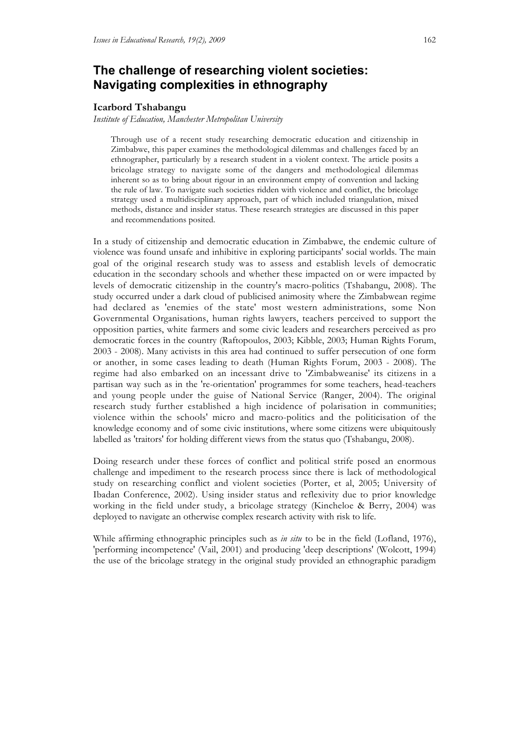# **The challenge of researching violent societies: Navigating complexities in ethnography**

#### **Icarbord Tshabangu**

*Institute of Education, Manchester Metropolitan University*

Through use of a recent study researching democratic education and citizenship in Zimbabwe, this paper examines the methodological dilemmas and challenges faced by an ethnographer, particularly by a research student in a violent context. The article posits a bricolage strategy to navigate some of the dangers and methodological dilemmas inherent so as to bring about rigour in an environment empty of convention and lacking the rule of law. To navigate such societies ridden with violence and conflict, the bricolage strategy used a multidisciplinary approach, part of which included triangulation, mixed methods, distance and insider status. These research strategies are discussed in this paper and recommendations posited.

In a study of citizenship and democratic education in Zimbabwe, the endemic culture of violence was found unsafe and inhibitive in exploring participants' social worlds. The main goal of the original research study was to assess and establish levels of democratic education in the secondary schools and whether these impacted on or were impacted by levels of democratic citizenship in the country's macro-politics (Tshabangu, 2008). The study occurred under a dark cloud of publicised animosity where the Zimbabwean regime had declared as 'enemies of the state' most western administrations, some Non Governmental Organisations, human rights lawyers, teachers perceived to support the opposition parties, white farmers and some civic leaders and researchers perceived as pro democratic forces in the country (Raftopoulos, 2003; Kibble, 2003; Human Rights Forum, 2003 - 2008). Many activists in this area had continued to suffer persecution of one form or another, in some cases leading to death (Human Rights Forum, 2003 - 2008). The regime had also embarked on an incessant drive to 'Zimbabweanise' its citizens in a partisan way such as in the 're-orientation' programmes for some teachers, head-teachers and young people under the guise of National Service (Ranger, 2004). The original research study further established a high incidence of polarisation in communities; violence within the schools' micro and macro-politics and the politicisation of the knowledge economy and of some civic institutions, where some citizens were ubiquitously labelled as 'traitors' for holding different views from the status quo (Tshabangu, 2008).

Doing research under these forces of conflict and political strife posed an enormous challenge and impediment to the research process since there is lack of methodological study on researching conflict and violent societies (Porter, et al, 2005; University of Ibadan Conference, 2002). Using insider status and reflexivity due to prior knowledge working in the field under study, a bricolage strategy (Kincheloe & Berry, 2004) was deployed to navigate an otherwise complex research activity with risk to life.

While affirming ethnographic principles such as *in situ* to be in the field (Lofland, 1976), 'performing incompetence' (Vail, 2001) and producing 'deep descriptions' (Wolcott, 1994) the use of the bricolage strategy in the original study provided an ethnographic paradigm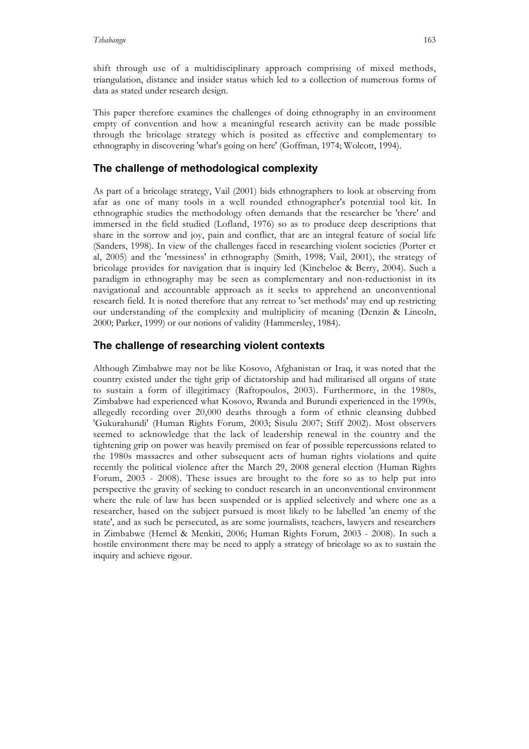shift through use of a multidisciplinary approach comprising of mixed methods, triangulation, distance and insider status which led to a collection of numerous forms of data as stated under research design.

This paper therefore examines the challenges of doing ethnography in an environment empty of convention and how a meaningful research activity can be made possible through the bricolage strategy which is posited as effective and complementary to ethnography in discovering 'what's going on here' (Goffman, 1974; Wolcott, 1994).

# **The challenge of methodological complexity**

As part of a bricolage strategy, Vail (2001) bids ethnographers to look at observing from afar as one of many tools in a well rounded ethnographer's potential tool kit. In ethnographic studies the methodology often demands that the researcher be 'there' and immersed in the field studied (Lofland, 1976) so as to produce deep descriptions that share in the sorrow and joy, pain and conflict, that are an integral feature of social life (Sanders, 1998). In view of the challenges faced in researching violent societies (Porter et al, 2005) and the 'messiness' in ethnography (Smith, 1998; Vail, 2001), the strategy of bricolage provides for navigation that is inquiry led (Kincheloe & Berry, 2004). Such a paradigm in ethnography may be seen as complementary and non-reductionist in its navigational and accountable approach as it seeks to apprehend an unconventional research field. It is noted therefore that any retreat to 'set methods' may end up restricting our understanding of the complexity and multiplicity of meaning (Denzin & Lincoln, 2000; Parker, 1999) or our notions of validity (Hammersley, 1984).

## **The challenge of researching violent contexts**

Although Zimbabwe may not be like Kosovo, Afghanistan or Iraq, it was noted that the country existed under the tight grip of dictatorship and had militarised all organs of state to sustain a form of illegitimacy (Raftopoulos, 2003). Furthermore, in the 1980s, Zimbabwe had experienced what Kosovo, Rwanda and Burundi experienced in the 1990s, allegedly recording over 20,000 deaths through a form of ethnic cleansing dubbed 'Gukurahundi' (Human Rights Forum, 2003; Sisulu 2007; Stiff 2002). Most observers seemed to acknowledge that the lack of leadership renewal in the country and the tightening grip on power was heavily premised on fear of possible repercussions related to the 1980s massacres and other subsequent acts of human rights violations and quite recently the political violence after the March 29, 2008 general election (Human Rights Forum, 2003 - 2008). These issues are brought to the fore so as to help put into perspective the gravity of seeking to conduct research in an unconventional environment where the rule of law has been suspended or is applied selectively and where one as a researcher, based on the subject pursued is most likely to be labelled 'an enemy of the state', and as such be persecuted, as are some journalists, teachers, lawyers and researchers in Zimbabwe (Hemel & Menkiti, 2006; Human Rights Forum, 2003 - 2008). In such a hostile environment there may be need to apply a strategy of bricolage so as to sustain the inquiry and achieve rigour.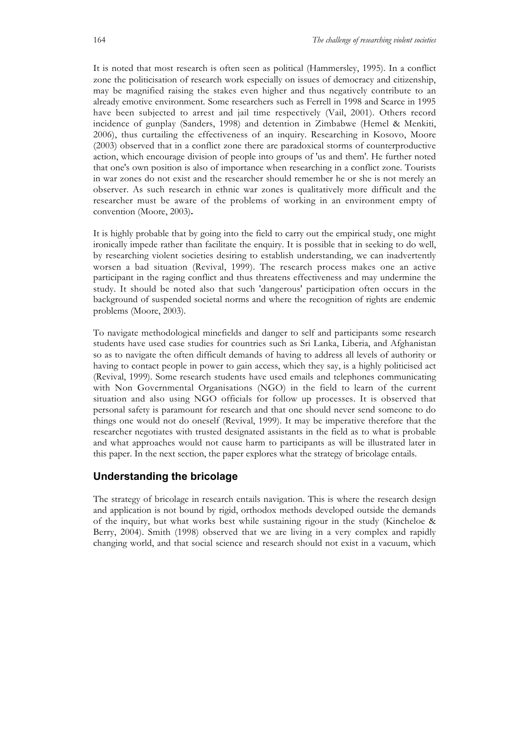It is noted that most research is often seen as political (Hammersley, 1995). In a conflict zone the politicisation of research work especially on issues of democracy and citizenship, may be magnified raising the stakes even higher and thus negatively contribute to an already emotive environment. Some researchers such as Ferrell in 1998 and Scarce in 1995 have been subjected to arrest and jail time respectively (Vail, 2001). Others record incidence of gunplay (Sanders, 1998) and detention in Zimbabwe (Hemel & Menkiti, 2006), thus curtailing the effectiveness of an inquiry. Researching in Kosovo, Moore (2003) observed that in a conflict zone there are paradoxical storms of counterproductive action, which encourage division of people into groups of 'us and them'. He further noted that one's own position is also of importance when researching in a conflict zone. Tourists in war zones do not exist and the researcher should remember he or she is not merely an observer. As such research in ethnic war zones is qualitatively more difficult and the researcher must be aware of the problems of working in an environment empty of convention (Moore, 2003)**.**

It is highly probable that by going into the field to carry out the empirical study, one might ironically impede rather than facilitate the enquiry. It is possible that in seeking to do well, by researching violent societies desiring to establish understanding, we can inadvertently worsen a bad situation (Revival, 1999). The research process makes one an active participant in the raging conflict and thus threatens effectiveness and may undermine the study. It should be noted also that such 'dangerous' participation often occurs in the background of suspended societal norms and where the recognition of rights are endemic problems (Moore, 2003).

To navigate methodological minefields and danger to self and participants some research students have used case studies for countries such as Sri Lanka, Liberia, and Afghanistan so as to navigate the often difficult demands of having to address all levels of authority or having to contact people in power to gain access, which they say, is a highly politicised act (Revival, 1999). Some research students have used emails and telephones communicating with Non Governmental Organisations (NGO) in the field to learn of the current situation and also using NGO officials for follow up processes. It is observed that personal safety is paramount for research and that one should never send someone to do things one would not do oneself (Revival, 1999). It may be imperative therefore that the researcher negotiates with trusted designated assistants in the field as to what is probable and what approaches would not cause harm to participants as will be illustrated later in this paper. In the next section, the paper explores what the strategy of bricolage entails.

# **Understanding the bricolage**

The strategy of bricolage in research entails navigation. This is where the research design and application is not bound by rigid, orthodox methods developed outside the demands of the inquiry, but what works best while sustaining rigour in the study (Kincheloe & Berry, 2004). Smith (1998) observed that we are living in a very complex and rapidly changing world, and that social science and research should not exist in a vacuum, which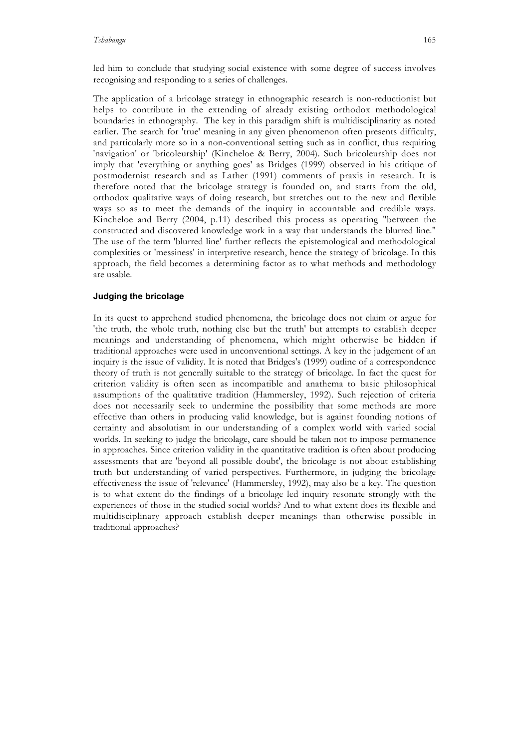led him to conclude that studying social existence with some degree of success involves recognising and responding to a series of challenges.

The application of a bricolage strategy in ethnographic research is non-reductionist but helps to contribute in the extending of already existing orthodox methodological boundaries in ethnography. The key in this paradigm shift is multidisciplinarity as noted earlier. The search for 'true' meaning in any given phenomenon often presents difficulty, and particularly more so in a non-conventional setting such as in conflict, thus requiring 'navigation' or 'bricoleurship' (Kincheloe & Berry, 2004). Such bricoleurship does not imply that 'everything or anything goes' as Bridges (1999) observed in his critique of postmodernist research and as Lather (1991) comments of praxis in research. It is therefore noted that the bricolage strategy is founded on, and starts from the old, orthodox qualitative ways of doing research, but stretches out to the new and flexible ways so as to meet the demands of the inquiry in accountable and credible ways. Kincheloe and Berry (2004, p.11) described this process as operating "between the constructed and discovered knowledge work in a way that understands the blurred line." The use of the term 'blurred line' further reflects the epistemological and methodological complexities or 'messiness' in interpretive research, hence the strategy of bricolage. In this approach, the field becomes a determining factor as to what methods and methodology are usable.

### **Judging the bricolage**

In its quest to apprehend studied phenomena, the bricolage does not claim or argue for 'the truth, the whole truth, nothing else but the truth' but attempts to establish deeper meanings and understanding of phenomena, which might otherwise be hidden if traditional approaches were used in unconventional settings. A key in the judgement of an inquiry is the issue of validity. It is noted that Bridges's (1999) outline of a correspondence theory of truth is not generally suitable to the strategy of bricolage. In fact the quest for criterion validity is often seen as incompatible and anathema to basic philosophical assumptions of the qualitative tradition (Hammersley, 1992). Such rejection of criteria does not necessarily seek to undermine the possibility that some methods are more effective than others in producing valid knowledge, but is against founding notions of certainty and absolutism in our understanding of a complex world with varied social worlds. In seeking to judge the bricolage, care should be taken not to impose permanence in approaches. Since criterion validity in the quantitative tradition is often about producing assessments that are 'beyond all possible doubt', the bricolage is not about establishing truth but understanding of varied perspectives. Furthermore, in judging the bricolage effectiveness the issue of 'relevance' (Hammersley, 1992), may also be a key. The question is to what extent do the findings of a bricolage led inquiry resonate strongly with the experiences of those in the studied social worlds? And to what extent does its flexible and multidisciplinary approach establish deeper meanings than otherwise possible in traditional approaches?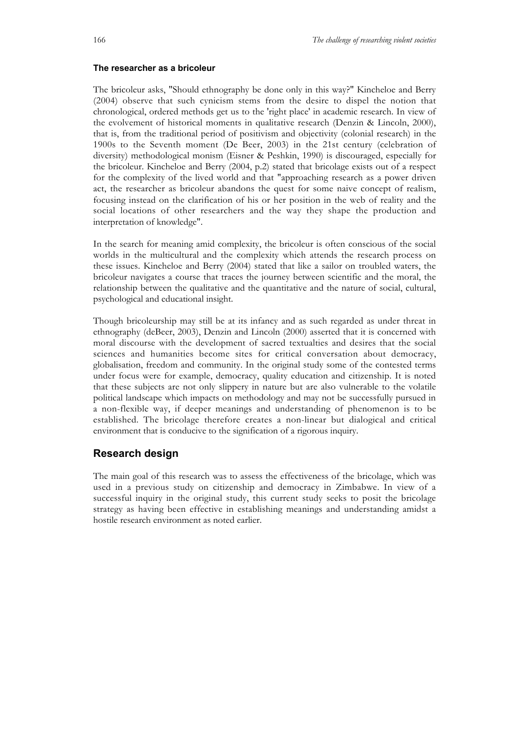#### **The researcher as a bricoleur**

The bricoleur asks, "Should ethnography be done only in this way?" Kincheloe and Berry (2004) observe that such cynicism stems from the desire to dispel the notion that chronological, ordered methods get us to the 'right place' in academic research. In view of the evolvement of historical moments in qualitative research (Denzin & Lincoln, 2000), that is, from the traditional period of positivism and objectivity (colonial research) in the 1900s to the Seventh moment (De Beer, 2003) in the 21st century (celebration of diversity) methodological monism (Eisner & Peshkin, 1990) is discouraged, especially for the bricoleur. Kincheloe and Berry (2004, p.2) stated that bricolage exists out of a respect for the complexity of the lived world and that "approaching research as a power driven act, the researcher as bricoleur abandons the quest for some naive concept of realism, focusing instead on the clarification of his or her position in the web of reality and the social locations of other researchers and the way they shape the production and interpretation of knowledge".

In the search for meaning amid complexity, the bricoleur is often conscious of the social worlds in the multicultural and the complexity which attends the research process on these issues. Kincheloe and Berry (2004) stated that like a sailor on troubled waters, the bricoleur navigates a course that traces the journey between scientific and the moral, the relationship between the qualitative and the quantitative and the nature of social, cultural, psychological and educational insight.

Though bricoleurship may still be at its infancy and as such regarded as under threat in ethnography (deBeer, 2003), Denzin and Lincoln (2000) asserted that it is concerned with moral discourse with the development of sacred textualties and desires that the social sciences and humanities become sites for critical conversation about democracy, globalisation, freedom and community. In the original study some of the contested terms under focus were for example, democracy, quality education and citizenship. It is noted that these subjects are not only slippery in nature but are also vulnerable to the volatile political landscape which impacts on methodology and may not be successfully pursued in a non-flexible way, if deeper meanings and understanding of phenomenon is to be established. The bricolage therefore creates a non-linear but dialogical and critical environment that is conducive to the signification of a rigorous inquiry.

#### **Research design**

The main goal of this research was to assess the effectiveness of the bricolage, which was used in a previous study on citizenship and democracy in Zimbabwe. In view of a successful inquiry in the original study, this current study seeks to posit the bricolage strategy as having been effective in establishing meanings and understanding amidst a hostile research environment as noted earlier.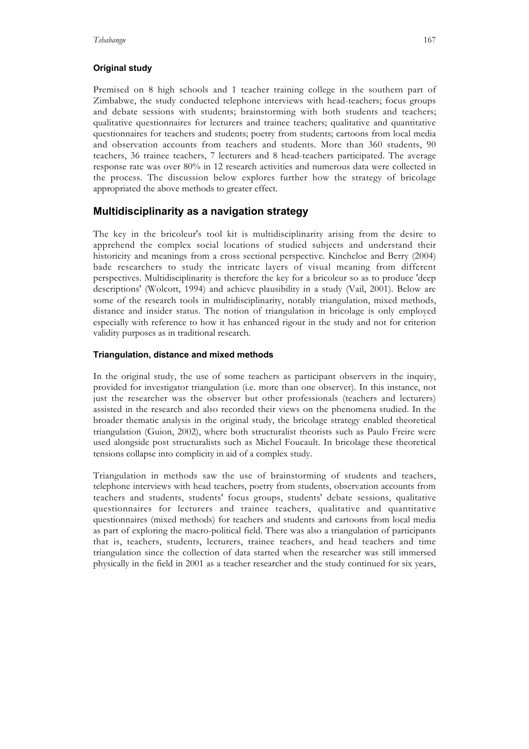# **Original study**

Premised on 8 high schools and 1 teacher training college in the southern part of Zimbabwe, the study conducted telephone interviews with head-teachers; focus groups and debate sessions with students; brainstorming with both students and teachers; qualitative questionnaires for lecturers and trainee teachers; qualitative and quantitative questionnaires for teachers and students; poetry from students; cartoons from local media and observation accounts from teachers and students. More than 360 students, 90 teachers, 36 trainee teachers, 7 lecturers and 8 head-teachers participated. The average response rate was over 80% in 12 research activities and numerous data were collected in the process. The discussion below explores further how the strategy of bricolage appropriated the above methods to greater effect.

# **Multidisciplinarity as a navigation strategy**

The key in the bricoleur's tool kit is multidisciplinarity arising from the desire to apprehend the complex social locations of studied subjects and understand their historicity and meanings from a cross sectional perspective. Kincheloe and Berry (2004) bade researchers to study the intricate layers of visual meaning from different perspectives. Multidisciplinarity is therefore the key for a bricoleur so as to produce 'deep descriptions' (Wolcott, 1994) and achieve plausibility in a study (Vail, 2001). Below are some of the research tools in multidisciplinarity, notably triangulation, mixed methods, distance and insider status. The notion of triangulation in bricolage is only employed especially with reference to how it has enhanced rigour in the study and not for criterion validity purposes as in traditional research*.*

### **Triangulation, distance and mixed methods**

In the original study, the use of some teachers as participant observers in the inquiry, provided for investigator triangulation (i.e. more than one observer). In this instance, not just the researcher was the observer but other professionals (teachers and lecturers) assisted in the research and also recorded their views on the phenomena studied. In the broader thematic analysis in the original study, the bricolage strategy enabled theoretical triangulation (Guion, 2002), where both structuralist theorists such as Paulo Freire were used alongside post structuralists such as Michel Foucault. In bricolage these theoretical tensions collapse into complicity in aid of a complex study.

Triangulation in methods saw the use of brainstorming of students and teachers, telephone interviews with head teachers, poetry from students, observation accounts from teachers and students, students' focus groups, students' debate sessions, qualitative questionnaires for lecturers and trainee teachers, qualitative and quantitative questionnaires (mixed methods) for teachers and students and cartoons from local media as part of exploring the macro-political field. There was also a triangulation of participants that is, teachers, students, lecturers, trainee teachers, and head teachers and time triangulation since the collection of data started when the researcher was still immersed physically in the field in 2001 as a teacher researcher and the study continued for six years,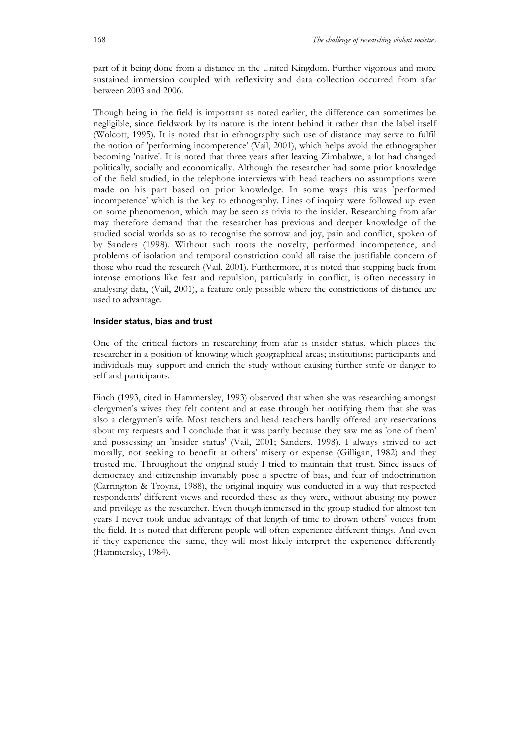part of it being done from a distance in the United Kingdom. Further vigorous and more sustained immersion coupled with reflexivity and data collection occurred from afar between 2003 and 2006.

Though being in the field is important as noted earlier, the difference can sometimes be negligible, since fieldwork by its nature is the intent behind it rather than the label itself (Wolcott, 1995). It is noted that in ethnography such use of distance may serve to fulfil the notion of 'performing incompetence' (Vail, 2001), which helps avoid the ethnographer becoming 'native'. It is noted that three years after leaving Zimbabwe, a lot had changed politically, socially and economically. Although the researcher had some prior knowledge of the field studied, in the telephone interviews with head teachers no assumptions were made on his part based on prior knowledge. In some ways this was 'performed incompetence' which is the key to ethnography. Lines of inquiry were followed up even on some phenomenon, which may be seen as trivia to the insider. Researching from afar may therefore demand that the researcher has previous and deeper knowledge of the studied social worlds so as to recognise the sorrow and joy, pain and conflict, spoken of by Sanders (1998). Without such roots the novelty, performed incompetence, and problems of isolation and temporal constriction could all raise the justifiable concern of those who read the research (Vail, 2001). Furthermore, it is noted that stepping back from intense emotions like fear and repulsion, particularly in conflict, is often necessary in analysing data, (Vail, 2001), a feature only possible where the constrictions of distance are used to advantage.

#### **Insider status, bias and trust**

One of the critical factors in researching from afar is insider status, which places the researcher in a position of knowing which geographical areas; institutions; participants and individuals may support and enrich the study without causing further strife or danger to self and participants.

Finch (1993, cited in Hammersley, 1993) observed that when she was researching amongst clergymen's wives they felt content and at ease through her notifying them that she was also a clergymen's wife. Most teachers and head teachers hardly offered any reservations about my requests and I conclude that it was partly because they saw me as 'one of them' and possessing an 'insider status' (Vail, 2001; Sanders, 1998). I always strived to act morally, not seeking to benefit at others' misery or expense (Gilligan, 1982) and they trusted me. Throughout the original study I tried to maintain that trust. Since issues of democracy and citizenship invariably pose a spectre of bias, and fear of indoctrination (Carrington & Troyna, 1988), the original inquiry was conducted in a way that respected respondents' different views and recorded these as they were, without abusing my power and privilege as the researcher. Even though immersed in the group studied for almost ten years I never took undue advantage of that length of time to drown others' voices from the field. It is noted that different people will often experience different things. And even if they experience the same, they will most likely interpret the experience differently (Hammersley, 1984).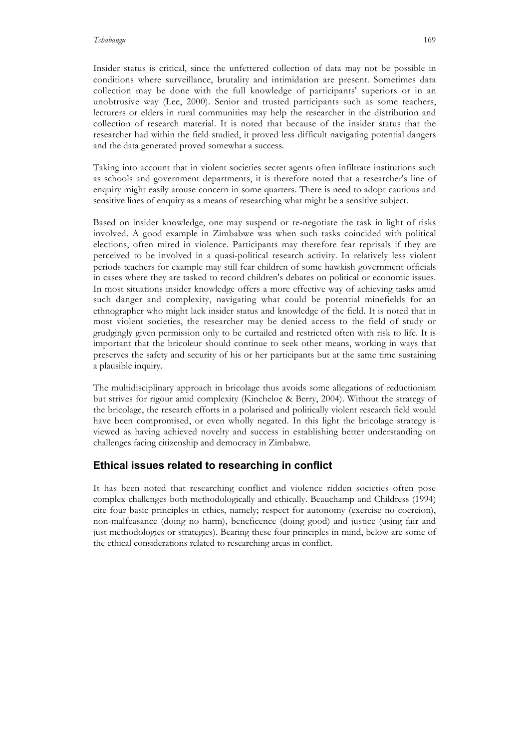Insider status is critical, since the unfettered collection of data may not be possible in conditions where surveillance, brutality and intimidation are present. Sometimes data collection may be done with the full knowledge of participants' superiors or in an unobtrusive way (Lee, 2000). Senior and trusted participants such as some teachers, lecturers or elders in rural communities may help the researcher in the distribution and collection of research material. It is noted that because of the insider status that the researcher had within the field studied, it proved less difficult navigating potential dangers and the data generated proved somewhat a success.

Taking into account that in violent societies secret agents often infiltrate institutions such as schools and government departments, it is therefore noted that a researcher's line of enquiry might easily arouse concern in some quarters. There is need to adopt cautious and sensitive lines of enquiry as a means of researching what might be a sensitive subject.

Based on insider knowledge, one may suspend or re-negotiate the task in light of risks involved. A good example in Zimbabwe was when such tasks coincided with political elections, often mired in violence. Participants may therefore fear reprisals if they are perceived to be involved in a quasi-political research activity. In relatively less violent periods teachers for example may still fear children of some hawkish government officials in cases where they are tasked to record children's debates on political or economic issues. In most situations insider knowledge offers a more effective way of achieving tasks amid such danger and complexity, navigating what could be potential minefields for an ethnographer who might lack insider status and knowledge of the field. It is noted that in most violent societies, the researcher may be denied access to the field of study or grudgingly given permission only to be curtailed and restricted often with risk to life. It is important that the bricoleur should continue to seek other means, working in ways that preserves the safety and security of his or her participants but at the same time sustaining a plausible inquiry.

The multidisciplinary approach in bricolage thus avoids some allegations of reductionism but strives for rigour amid complexity (Kincheloe & Berry, 2004). Without the strategy of the bricolage, the research efforts in a polarised and politically violent research field would have been compromised, or even wholly negated. In this light the bricolage strategy is viewed as having achieved novelty and success in establishing better understanding on challenges facing citizenship and democracy in Zimbabwe.

# **Ethical issues related to researching in conflict**

It has been noted that researching conflict and violence ridden societies often pose complex challenges both methodologically and ethically. Beauchamp and Childress (1994) cite four basic principles in ethics, namely; respect for autonomy (exercise no coercion), non-malfeasance (doing no harm), beneficence (doing good) and justice (using fair and just methodologies or strategies). Bearing these four principles in mind, below are some of the ethical considerations related to researching areas in conflict.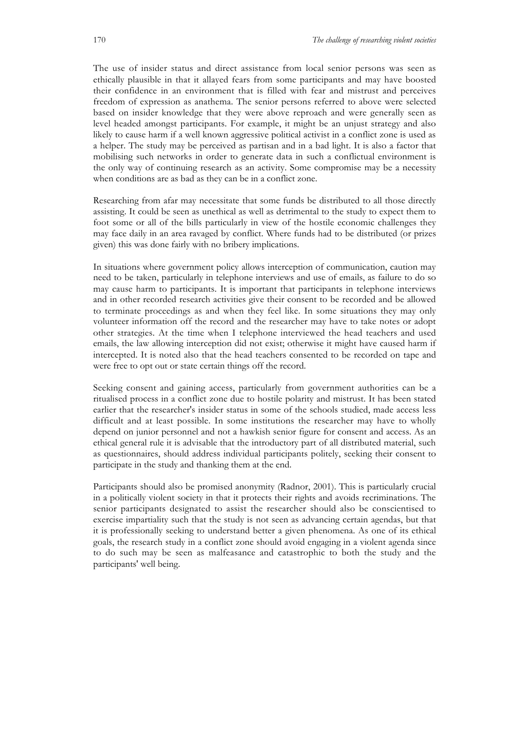The use of insider status and direct assistance from local senior persons was seen as ethically plausible in that it allayed fears from some participants and may have boosted their confidence in an environment that is filled with fear and mistrust and perceives freedom of expression as anathema. The senior persons referred to above were selected based on insider knowledge that they were above reproach and were generally seen as level headed amongst participants. For example, it might be an unjust strategy and also likely to cause harm if a well known aggressive political activist in a conflict zone is used as a helper. The study may be perceived as partisan and in a bad light. It is also a factor that mobilising such networks in order to generate data in such a conflictual environment is the only way of continuing research as an activity. Some compromise may be a necessity when conditions are as bad as they can be in a conflict zone.

Researching from afar may necessitate that some funds be distributed to all those directly assisting. It could be seen as unethical as well as detrimental to the study to expect them to foot some or all of the bills particularly in view of the hostile economic challenges they may face daily in an area ravaged by conflict. Where funds had to be distributed (or prizes given) this was done fairly with no bribery implications.

In situations where government policy allows interception of communication, caution may need to be taken, particularly in telephone interviews and use of emails, as failure to do so may cause harm to participants. It is important that participants in telephone interviews and in other recorded research activities give their consent to be recorded and be allowed to terminate proceedings as and when they feel like. In some situations they may only volunteer information off the record and the researcher may have to take notes or adopt other strategies. At the time when I telephone interviewed the head teachers and used emails, the law allowing interception did not exist; otherwise it might have caused harm if intercepted. It is noted also that the head teachers consented to be recorded on tape and were free to opt out or state certain things off the record.

Seeking consent and gaining access, particularly from government authorities can be a ritualised process in a conflict zone due to hostile polarity and mistrust. It has been stated earlier that the researcher's insider status in some of the schools studied, made access less difficult and at least possible. In some institutions the researcher may have to wholly depend on junior personnel and not a hawkish senior figure for consent and access. As an ethical general rule it is advisable that the introductory part of all distributed material, such as questionnaires, should address individual participants politely, seeking their consent to participate in the study and thanking them at the end.

Participants should also be promised anonymity (Radnor, 2001). This is particularly crucial in a politically violent society in that it protects their rights and avoids recriminations. The senior participants designated to assist the researcher should also be conscientised to exercise impartiality such that the study is not seen as advancing certain agendas, but that it is professionally seeking to understand better a given phenomena. As one of its ethical goals, the research study in a conflict zone should avoid engaging in a violent agenda since to do such may be seen as malfeasance and catastrophic to both the study and the participants' well being.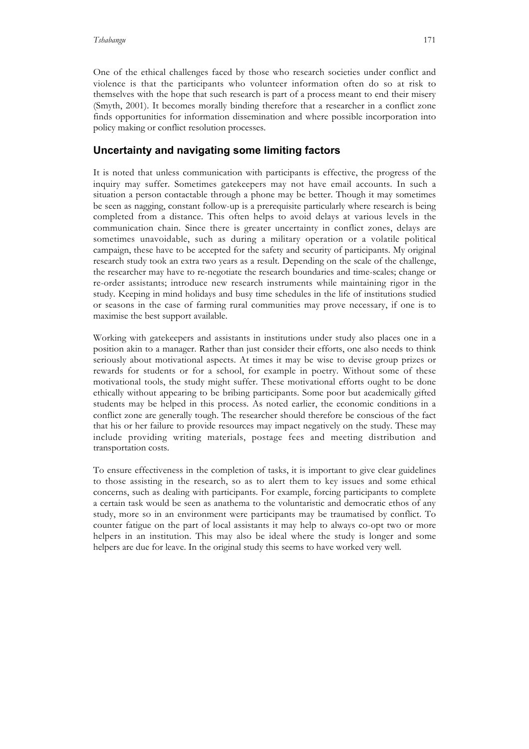One of the ethical challenges faced by those who research societies under conflict and violence is that the participants who volunteer information often do so at risk to themselves with the hope that such research is part of a process meant to end their misery (Smyth, 2001). It becomes morally binding therefore that a researcher in a conflict zone finds opportunities for information dissemination and where possible incorporation into policy making or conflict resolution processes.

# **Uncertainty and navigating some limiting factors**

It is noted that unless communication with participants is effective, the progress of the inquiry may suffer. Sometimes gatekeepers may not have email accounts. In such a situation a person contactable through a phone may be better. Though it may sometimes be seen as nagging, constant follow-up is a prerequisite particularly where research is being completed from a distance. This often helps to avoid delays at various levels in the communication chain. Since there is greater uncertainty in conflict zones, delays are sometimes unavoidable, such as during a military operation or a volatile political campaign, these have to be accepted for the safety and security of participants. My original research study took an extra two years as a result. Depending on the scale of the challenge, the researcher may have to re-negotiate the research boundaries and time-scales; change or re-order assistants; introduce new research instruments while maintaining rigor in the study. Keeping in mind holidays and busy time schedules in the life of institutions studied or seasons in the case of farming rural communities may prove necessary, if one is to maximise the best support available.

Working with gatekeepers and assistants in institutions under study also places one in a position akin to a manager. Rather than just consider their efforts, one also needs to think seriously about motivational aspects. At times it may be wise to devise group prizes or rewards for students or for a school, for example in poetry. Without some of these motivational tools, the study might suffer. These motivational efforts ought to be done ethically without appearing to be bribing participants. Some poor but academically gifted students may be helped in this process. As noted earlier, the economic conditions in a conflict zone are generally tough. The researcher should therefore be conscious of the fact that his or her failure to provide resources may impact negatively on the study. These may include providing writing materials, postage fees and meeting distribution and transportation costs.

To ensure effectiveness in the completion of tasks, it is important to give clear guidelines to those assisting in the research, so as to alert them to key issues and some ethical concerns, such as dealing with participants. For example, forcing participants to complete a certain task would be seen as anathema to the voluntaristic and democratic ethos of any study, more so in an environment were participants may be traumatised by conflict. To counter fatigue on the part of local assistants it may help to always co-opt two or more helpers in an institution. This may also be ideal where the study is longer and some helpers are due for leave. In the original study this seems to have worked very well.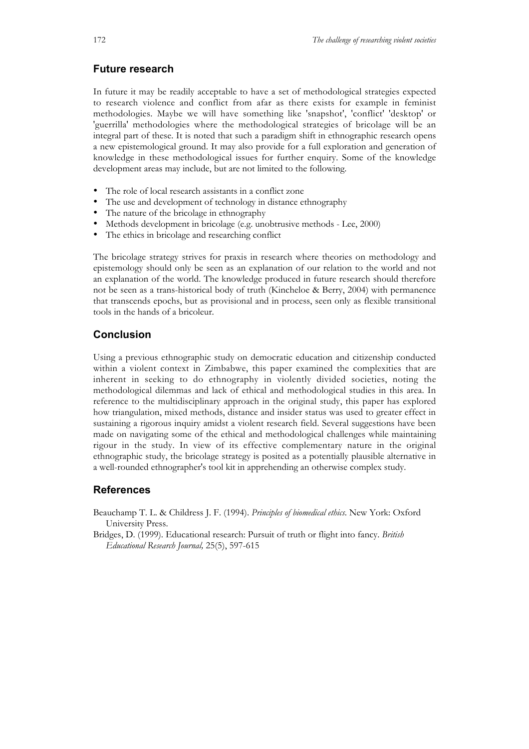### **Future research**

In future it may be readily acceptable to have a set of methodological strategies expected to research violence and conflict from afar as there exists for example in feminist methodologies. Maybe we will have something like 'snapshot', 'conflict' 'desktop' or 'guerrilla' methodologies where the methodological strategies of bricolage will be an integral part of these. It is noted that such a paradigm shift in ethnographic research opens a new epistemological ground. It may also provide for a full exploration and generation of knowledge in these methodological issues for further enquiry. Some of the knowledge development areas may include, but are not limited to the following.

- The role of local research assistants in a conflict zone
- The use and development of technology in distance ethnography
- The nature of the bricolage in ethnography
- Methods development in bricolage (e.g. unobtrusive methods Lee, 2000)
- The ethics in bricolage and researching conflict

The bricolage strategy strives for praxis in research where theories on methodology and epistemology should only be seen as an explanation of our relation to the world and not an explanation of the world. The knowledge produced in future research should therefore not be seen as a trans-historical body of truth (Kincheloe & Berry, 2004) with permanence that transcends epochs, but as provisional and in process, seen only as flexible transitional tools in the hands of a bricoleur.

## **Conclusion**

Using a previous ethnographic study on democratic education and citizenship conducted within a violent context in Zimbabwe, this paper examined the complexities that are inherent in seeking to do ethnography in violently divided societies, noting the methodological dilemmas and lack of ethical and methodological studies in this area. In reference to the multidisciplinary approach in the original study, this paper has explored how triangulation, mixed methods, distance and insider status was used to greater effect in sustaining a rigorous inquiry amidst a violent research field. Several suggestions have been made on navigating some of the ethical and methodological challenges while maintaining rigour in the study. In view of its effective complementary nature in the original ethnographic study, the bricolage strategy is posited as a potentially plausible alternative in a well-rounded ethnographer's tool kit in apprehending an otherwise complex study.

### **References**

Beauchamp T. L. & Childress J. F. (1994). *Principles of biomedical ethics*. New York: Oxford University Press.

Bridges, D. (1999). Educational research: Pursuit of truth or flight into fancy. *British Educational Research Journal,* 25(5), 597-615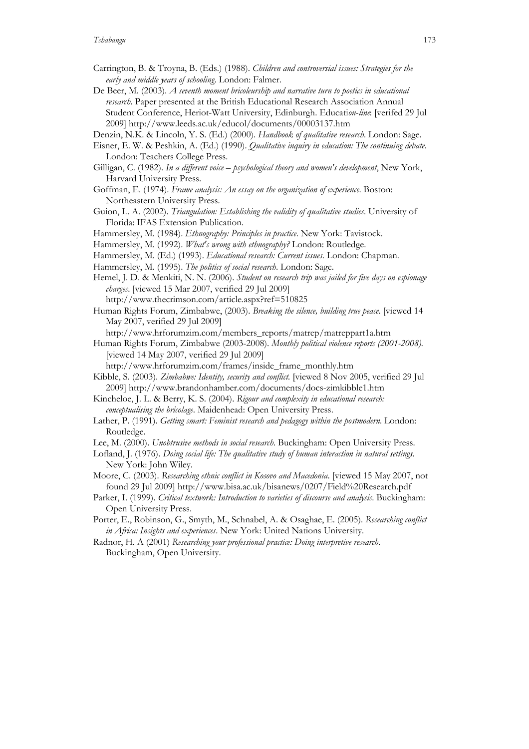- Carrington, B. & Troyna, B. (Eds.) (1988). *Children and controversial issues: Strategies for the early and middle years of schooling*. London: Falmer.
- De Beer, M. (2003). *A seventh moment bricoleurship and narrative turn to poetics in educational research*. Paper presented at the British Educational Research Association Annual Student Conference, Heriot-Watt University, Edinburgh. Educati*on*-*line*: [verifed 29 Jul 2009] http://www.leeds.ac.uk/educol/documents/00003137.htm

Denzin, N.K. & Lincoln, Y. S. (Ed.) (2000). *Handbook of qualitative research*. London: Sage.

- Eisner, E. W. & Peshkin, A. (Ed.) (1990). *Qualitative inquiry in education: The continuing debate*. London: Teachers College Press.
- Gilligan, C. (1982). *In a different voice psychological theory and women's development*, New York, Harvard University Press.
- Goffman, E. (1974). *Frame analysis: An essay on the organization of experience*. Boston: Northeastern University Press.
- Guion, L. A. (2002). *Triangulation: Establishing the validity of qualitative studies*. University of Florida: IFAS Extension Publication.
- Hammersley, M. (1984). *Ethnography: Principles in practice*. New York: Tavistock.
- Hammersley, M. (1992). *What's wrong with ethnography?* London: Routledge.
- Hammersley, M. (Ed.) (1993). *Educational research: Current issues*. London: Chapman*.*
- Hammersley, M. (1995). *The politics of social research*. London: Sage.
- Hemel, J. D. & Menkiti, N. N. (2006). *Student on research trip was jailed for five days on espionage charges*. [viewed 15 Mar 2007, verified 29 Jul 2009] http://www.thecrimson.com/article.aspx?ref=510825
- Human Rights Forum, Zimbabwe, (2003). *Breaking the silence, building true peace*. [viewed 14 May 2007, verified 29 Jul 2009]

http://www.hrforumzim.com/members\_reports/matrep/matreppart1a.htm

Human Rights Forum, Zimbabwe (2003-2008). *Monthly political violence reports (2001-2008).* [viewed 14 May 2007, verified 29 Jul 2009]

http://www.hrforumzim.com/frames/inside\_frame\_monthly.htm

- Kibble, S. (2003). *Zimbabwe: Identity, security and conflict.* [viewed 8 Nov 2005, verified 29 Jul 2009] http://www.brandonhamber.com/documents/docs-zimkibble1.htm
- Kincheloe, J. L. & Berry, K. S. (2004). *Rigour and complexity in educational research: conceptualising the bricolage*. Maidenhead: Open University Press.
- Lather, P. (1991). *Getting smart: Feminist research and pedagogy within the postmodern*. London: Routledge.
- Lee, M. (2000). *Unobtrusive methods in social research*. Buckingham: Open University Press.
- Lofland, J. (1976). *Doing social life: The qualitative study of human interaction in natural settings.* New York: John Wiley.
- Moore, C. (2003). *Researching ethnic conflict in Kosovo and Macedonia*. [viewed 15 May 2007, not found 29 Jul 2009] http://www.bisa.ac.uk/bisanews/0207/Field%20Research.pdf
- Parker, I. (1999). *Critical textwork: Introduction to varieties of discourse and analysis*. Buckingham: Open University Press.
- Porter, E., Robinson, G., Smyth, M., Schnabel, A. & Osaghae, E. (2005). *Researching conflict in Africa: Insights and experiences*. New York: United Nations University.
- Radnor, H. A (2001) *Researching your professional practice: Doing interpretive research*. Buckingham, Open University.